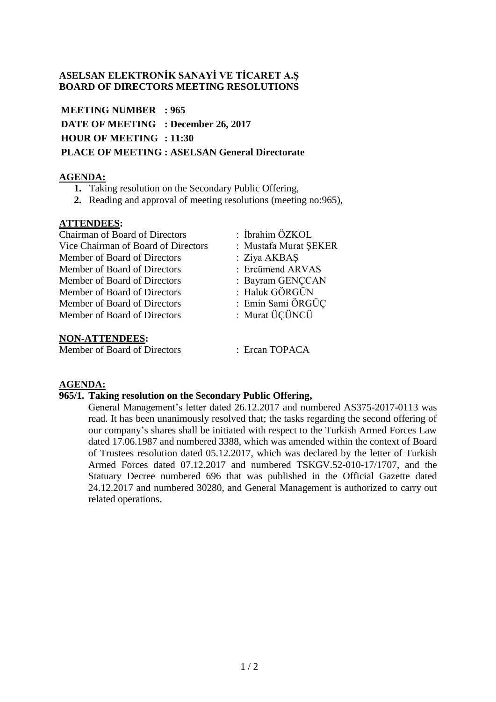# **ASELSAN ELEKTRONİK SANAYİ VE TİCARET A.Ş BOARD OF DIRECTORS MEETING RESOLUTIONS**

**MEETING NUMBER : 965 DATE OF MEETING : December 26, 2017 HOUR OF MEETING : 11:30 PLACE OF MEETING : ASELSAN General Directorate**

# **AGENDA:**

- **1.** Taking resolution on the Secondary Public Offering,
- **2.** Reading and approval of meeting resolutions (meeting no:965),

## **ATTENDEES:**

Chairman of Board of Directors : İbrahim ÖZKOL Vice Chairman of Board of Directors : Mustafa Murat ŞEKER Member of Board of Directors : Ziya AKBAŞ Member of Board of Directors : Ercümend ARVAS Member of Board of Directors : Bayram GENCCAN Member of Board of Directors : Haluk GÖRGÜN Member of Board of Directors : Emin Sami ÖRGÜÇ Member of Board of Directors : Murat ÜÇÜNCÜ

#### **NON-ATTENDEES:**

Member of Board of Directors : Ercan TOPACA

### **AGENDA:**

### **965/1. Taking resolution on the Secondary Public Offering,**

General Management's letter dated 26.12.2017 and numbered AS375-2017-0113 was read. It has been unanimously resolved that; the tasks regarding the second offering of our company's shares shall be initiated with respect to the Turkish Armed Forces Law dated 17.06.1987 and numbered 3388, which was amended within the context of Board of Trustees resolution dated 05.12.2017, which was declared by the letter of Turkish Armed Forces dated 07.12.2017 and numbered TSKGV.52-010-17/1707, and the Statuary Decree numbered 696 that was published in the Official Gazette dated 24.12.2017 and numbered 30280, and General Management is authorized to carry out related operations.